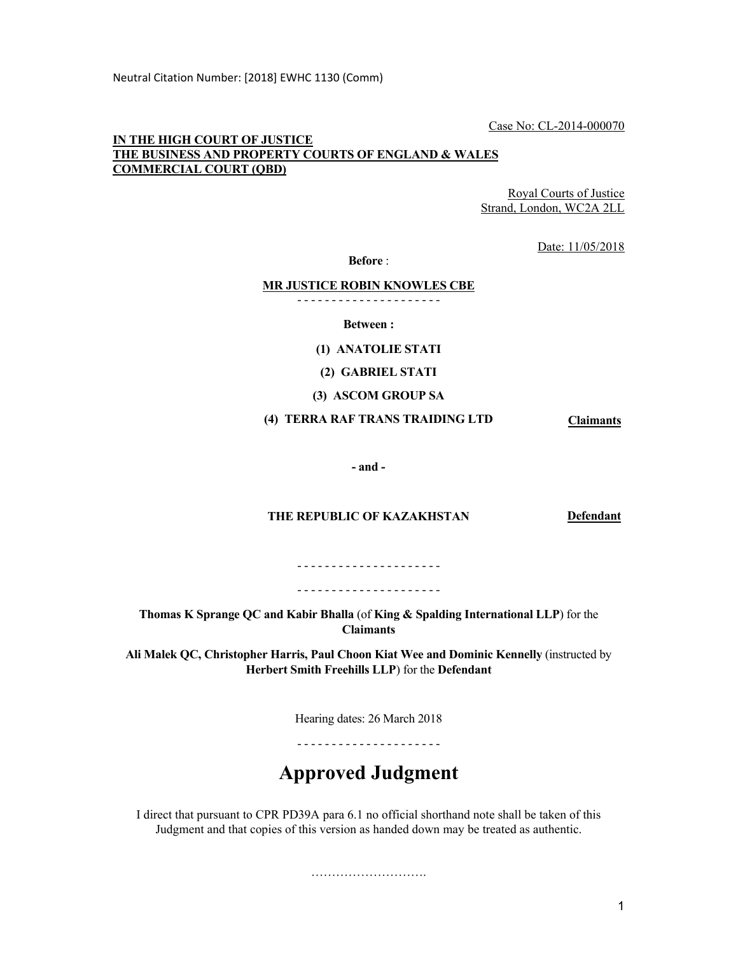Case No: CL-2014-000070

## **IN THE HIGH COURT OF JUSTICE THE BUSINESS AND PROPERTY COURTS OF ENGLAND & WALES COMMERCIAL COURT (QBD)**

Royal Courts of Justice Strand, London, WC2A 2LL

Date: 11/05/2018

**Before** :

**MR JUSTICE ROBIN KNOWLES CBE**  - - - - - - - - - - - - - - - - - - - - -

**Between :** 

#### **(1) ANATOLIE STATI**

**(2) GABRIEL STATI** 

**(3) ASCOM GROUP SA** 

**(4) TERRA RAF TRANS TRAIDING LTD Claimants** 

 **- and -** 

## **THE REPUBLIC OF KAZAKHSTAN** Defendant

- - - - - - - - - - - - - - - - - - - - - - - - - - - - - - - - - - - - - - - - - -

**Thomas K Sprange QC and Kabir Bhalla** (of **King & Spalding International LLP**) for the **Claimants**

**Ali Malek QC, Christopher Harris, Paul Choon Kiat Wee and Dominic Kennelly** (instructed by **Herbert Smith Freehills LLP**) for the **Defendant** 

Hearing dates: 26 March 2018

- - - - - - - - - - - - - - - - - - - - -

# **Approved Judgment**

I direct that pursuant to CPR PD39A para 6.1 no official shorthand note shall be taken of this Judgment and that copies of this version as handed down may be treated as authentic.

……………………………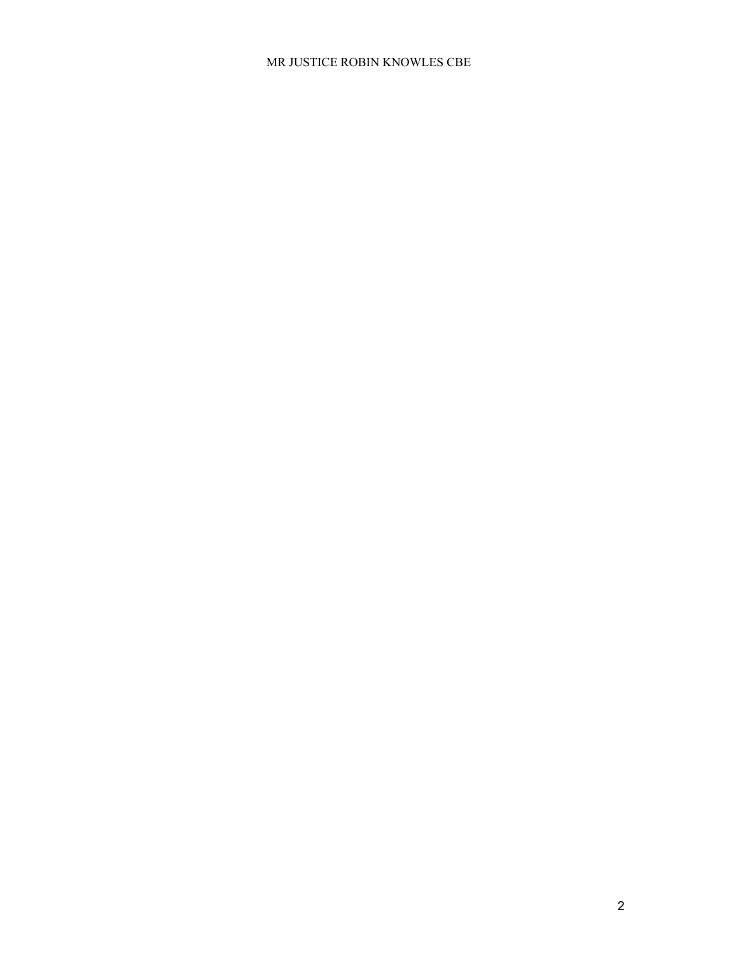# MR JUSTICE ROBIN KNOWLES CBE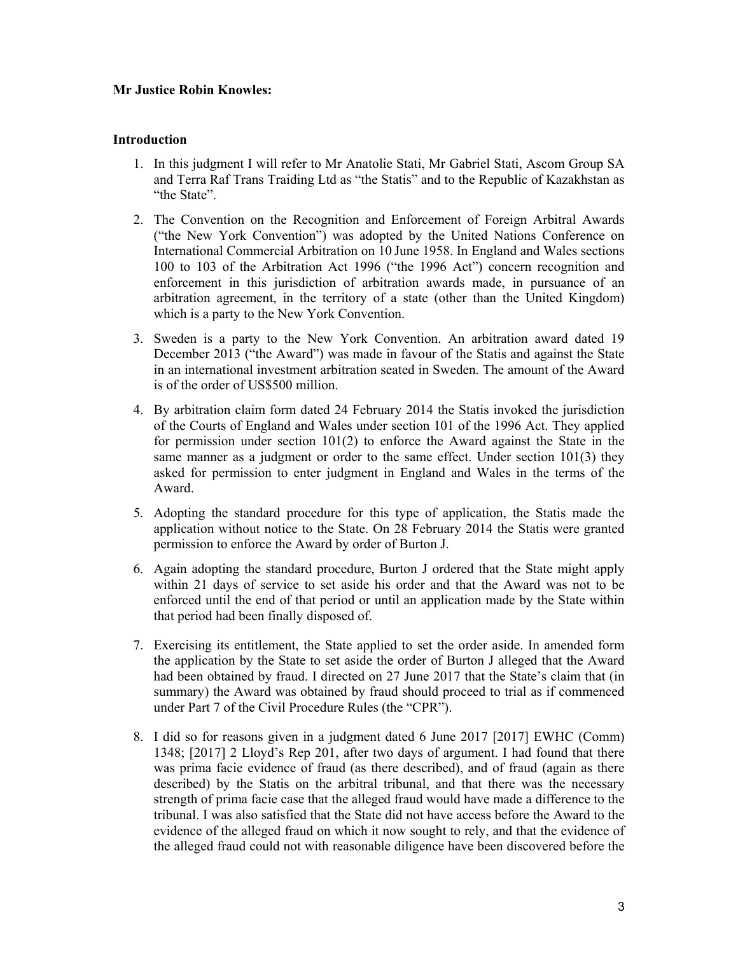# **Mr Justice Robin Knowles:**

# **Introduction**

- 1. In this judgment I will refer to Mr Anatolie Stati, Mr Gabriel Stati, Ascom Group SA and Terra Raf Trans Traiding Ltd as "the Statis" and to the Republic of Kazakhstan as "the State".
- 2. The Convention on the Recognition and Enforcement of Foreign Arbitral Awards ("the New York Convention") was adopted by the United Nations Conference on International Commercial Arbitration on 10 June 1958. In England and Wales sections 100 to 103 of the Arbitration Act 1996 ("the 1996 Act") concern recognition and enforcement in this jurisdiction of arbitration awards made, in pursuance of an arbitration agreement, in the territory of a state (other than the United Kingdom) which is a party to the New York Convention.
- 3. Sweden is a party to the New York Convention. An arbitration award dated 19 December 2013 ("the Award") was made in favour of the Statis and against the State in an international investment arbitration seated in Sweden. The amount of the Award is of the order of US\$500 million.
- 4. By arbitration claim form dated 24 February 2014 the Statis invoked the jurisdiction of the Courts of England and Wales under section 101 of the 1996 Act. They applied for permission under section 101(2) to enforce the Award against the State in the same manner as a judgment or order to the same effect. Under section 101(3) they asked for permission to enter judgment in England and Wales in the terms of the Award.
- 5. Adopting the standard procedure for this type of application, the Statis made the application without notice to the State. On 28 February 2014 the Statis were granted permission to enforce the Award by order of Burton J.
- 6. Again adopting the standard procedure, Burton J ordered that the State might apply within 21 days of service to set aside his order and that the Award was not to be enforced until the end of that period or until an application made by the State within that period had been finally disposed of.
- 7. Exercising its entitlement, the State applied to set the order aside. In amended form the application by the State to set aside the order of Burton J alleged that the Award had been obtained by fraud. I directed on 27 June 2017 that the State's claim that (in summary) the Award was obtained by fraud should proceed to trial as if commenced under Part 7 of the Civil Procedure Rules (the "CPR").
- 8. I did so for reasons given in a judgment dated 6 June 2017 [2017] EWHC (Comm) 1348; [2017] 2 Lloyd's Rep 201, after two days of argument. I had found that there was prima facie evidence of fraud (as there described), and of fraud (again as there described) by the Statis on the arbitral tribunal, and that there was the necessary strength of prima facie case that the alleged fraud would have made a difference to the tribunal. I was also satisfied that the State did not have access before the Award to the evidence of the alleged fraud on which it now sought to rely, and that the evidence of the alleged fraud could not with reasonable diligence have been discovered before the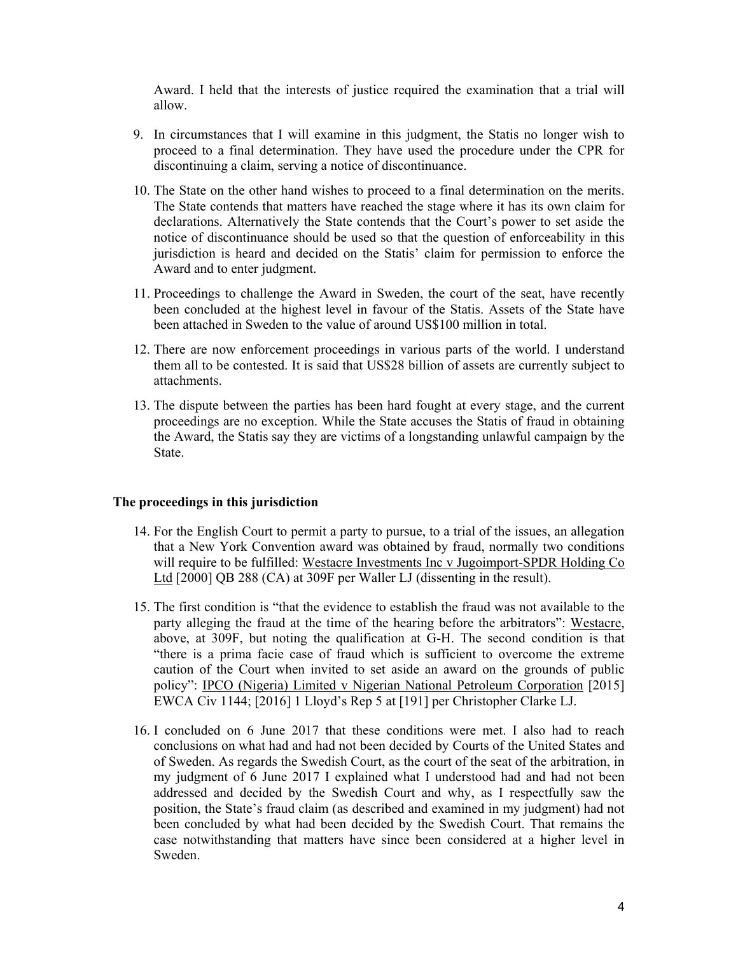Award. I held that the interests of justice required the examination that a trial will allow.

- 9. In circumstances that I will examine in this judgment, the Statis no longer wish to proceed to a final determination. They have used the procedure under the CPR for discontinuing a claim, serving a notice of discontinuance.
- 10. The State on the other hand wishes to proceed to a final determination on the merits. The State contends that matters have reached the stage where it has its own claim for declarations. Alternatively the State contends that the Court's power to set aside the notice of discontinuance should be used so that the question of enforceability in this jurisdiction is heard and decided on the Statis' claim for permission to enforce the Award and to enter judgment.
- 11. Proceedings to challenge the Award in Sweden, the court of the seat, have recently been concluded at the highest level in favour of the Statis. Assets of the State have been attached in Sweden to the value of around US\$100 million in total.
- 12. There are now enforcement proceedings in various parts of the world. I understand them all to be contested. It is said that US\$28 billion of assets are currently subject to attachments.
- 13. The dispute between the parties has been hard fought at every stage, and the current proceedings are no exception. While the State accuses the Statis of fraud in obtaining the Award, the Statis say they are victims of a longstanding unlawful campaign by the State.

## **The proceedings in this jurisdiction**

- 14. For the English Court to permit a party to pursue, to a trial of the issues, an allegation that a New York Convention award was obtained by fraud, normally two conditions will require to be fulfilled: Westacre Investments Inc v Jugoimport-SPDR Holding Co Ltd [2000] QB 288 (CA) at 309F per Waller LJ (dissenting in the result).
- 15. The first condition is "that the evidence to establish the fraud was not available to the party alleging the fraud at the time of the hearing before the arbitrators": Westacre, above, at 309F, but noting the qualification at G-H. The second condition is that "there is a prima facie case of fraud which is sufficient to overcome the extreme caution of the Court when invited to set aside an award on the grounds of public policy": IPCO (Nigeria) Limited v Nigerian National Petroleum Corporation [2015] EWCA Civ 1144; [2016] 1 Lloyd's Rep 5 at [191] per Christopher Clarke LJ.
- 16. I concluded on 6 June 2017 that these conditions were met. I also had to reach conclusions on what had and had not been decided by Courts of the United States and of Sweden. As regards the Swedish Court, as the court of the seat of the arbitration, in my judgment of 6 June 2017 I explained what I understood had and had not been addressed and decided by the Swedish Court and why, as I respectfully saw the position, the State's fraud claim (as described and examined in my judgment) had not been concluded by what had been decided by the Swedish Court. That remains the case notwithstanding that matters have since been considered at a higher level in Sweden.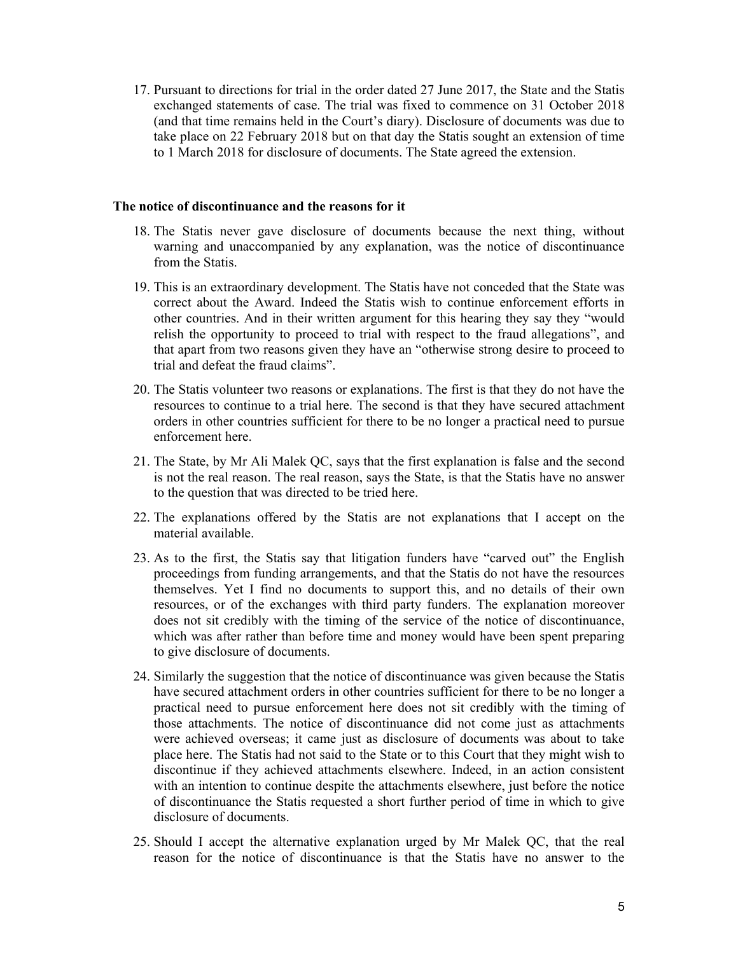17. Pursuant to directions for trial in the order dated 27 June 2017, the State and the Statis exchanged statements of case. The trial was fixed to commence on 31 October 2018 (and that time remains held in the Court's diary). Disclosure of documents was due to take place on 22 February 2018 but on that day the Statis sought an extension of time to 1 March 2018 for disclosure of documents. The State agreed the extension.

#### **The notice of discontinuance and the reasons for it**

- 18. The Statis never gave disclosure of documents because the next thing, without warning and unaccompanied by any explanation, was the notice of discontinuance from the Statis.
- 19. This is an extraordinary development. The Statis have not conceded that the State was correct about the Award. Indeed the Statis wish to continue enforcement efforts in other countries. And in their written argument for this hearing they say they "would relish the opportunity to proceed to trial with respect to the fraud allegations", and that apart from two reasons given they have an "otherwise strong desire to proceed to trial and defeat the fraud claims".
- 20. The Statis volunteer two reasons or explanations. The first is that they do not have the resources to continue to a trial here. The second is that they have secured attachment orders in other countries sufficient for there to be no longer a practical need to pursue enforcement here.
- 21. The State, by Mr Ali Malek QC, says that the first explanation is false and the second is not the real reason. The real reason, says the State, is that the Statis have no answer to the question that was directed to be tried here.
- 22. The explanations offered by the Statis are not explanations that I accept on the material available.
- 23. As to the first, the Statis say that litigation funders have "carved out" the English proceedings from funding arrangements, and that the Statis do not have the resources themselves. Yet I find no documents to support this, and no details of their own resources, or of the exchanges with third party funders. The explanation moreover does not sit credibly with the timing of the service of the notice of discontinuance, which was after rather than before time and money would have been spent preparing to give disclosure of documents.
- 24. Similarly the suggestion that the notice of discontinuance was given because the Statis have secured attachment orders in other countries sufficient for there to be no longer a practical need to pursue enforcement here does not sit credibly with the timing of those attachments. The notice of discontinuance did not come just as attachments were achieved overseas; it came just as disclosure of documents was about to take place here. The Statis had not said to the State or to this Court that they might wish to discontinue if they achieved attachments elsewhere. Indeed, in an action consistent with an intention to continue despite the attachments elsewhere, just before the notice of discontinuance the Statis requested a short further period of time in which to give disclosure of documents.
- 25. Should I accept the alternative explanation urged by Mr Malek QC, that the real reason for the notice of discontinuance is that the Statis have no answer to the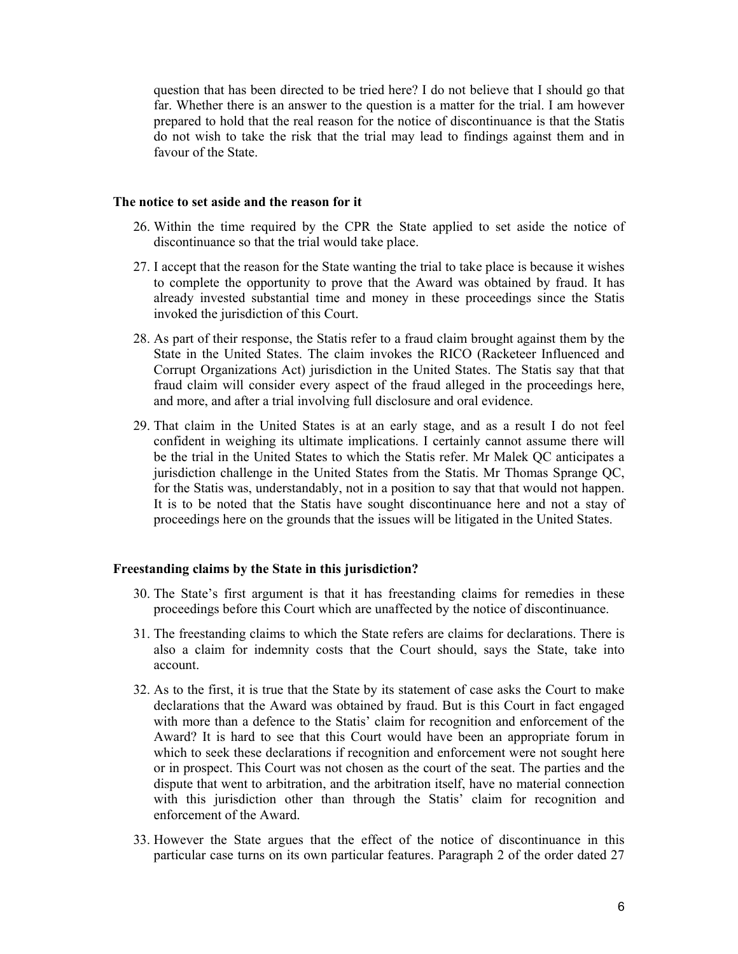question that has been directed to be tried here? I do not believe that I should go that far. Whether there is an answer to the question is a matter for the trial. I am however prepared to hold that the real reason for the notice of discontinuance is that the Statis do not wish to take the risk that the trial may lead to findings against them and in favour of the State.

#### **The notice to set aside and the reason for it**

- 26. Within the time required by the CPR the State applied to set aside the notice of discontinuance so that the trial would take place.
- 27. I accept that the reason for the State wanting the trial to take place is because it wishes to complete the opportunity to prove that the Award was obtained by fraud. It has already invested substantial time and money in these proceedings since the Statis invoked the jurisdiction of this Court.
- 28. As part of their response, the Statis refer to a fraud claim brought against them by the State in the United States. The claim invokes the RICO (Racketeer Influenced and Corrupt Organizations Act) jurisdiction in the United States. The Statis say that that fraud claim will consider every aspect of the fraud alleged in the proceedings here, and more, and after a trial involving full disclosure and oral evidence.
- 29. That claim in the United States is at an early stage, and as a result I do not feel confident in weighing its ultimate implications. I certainly cannot assume there will be the trial in the United States to which the Statis refer. Mr Malek QC anticipates a jurisdiction challenge in the United States from the Statis. Mr Thomas Sprange QC, for the Statis was, understandably, not in a position to say that that would not happen. It is to be noted that the Statis have sought discontinuance here and not a stay of proceedings here on the grounds that the issues will be litigated in the United States.

## **Freestanding claims by the State in this jurisdiction?**

- 30. The State's first argument is that it has freestanding claims for remedies in these proceedings before this Court which are unaffected by the notice of discontinuance.
- 31. The freestanding claims to which the State refers are claims for declarations. There is also a claim for indemnity costs that the Court should, says the State, take into account.
- 32. As to the first, it is true that the State by its statement of case asks the Court to make declarations that the Award was obtained by fraud. But is this Court in fact engaged with more than a defence to the Statis' claim for recognition and enforcement of the Award? It is hard to see that this Court would have been an appropriate forum in which to seek these declarations if recognition and enforcement were not sought here or in prospect. This Court was not chosen as the court of the seat. The parties and the dispute that went to arbitration, and the arbitration itself, have no material connection with this jurisdiction other than through the Statis' claim for recognition and enforcement of the Award.
- 33. However the State argues that the effect of the notice of discontinuance in this particular case turns on its own particular features. Paragraph 2 of the order dated 27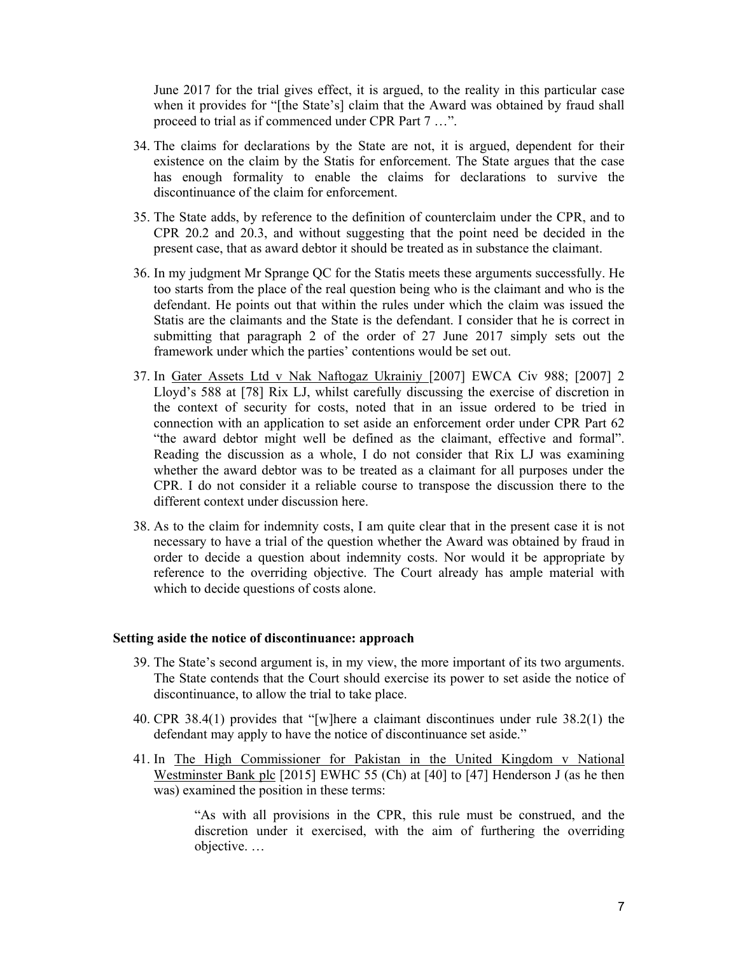June 2017 for the trial gives effect, it is argued, to the reality in this particular case when it provides for "[the State's] claim that the Award was obtained by fraud shall proceed to trial as if commenced under CPR Part 7 …".

- 34. The claims for declarations by the State are not, it is argued, dependent for their existence on the claim by the Statis for enforcement. The State argues that the case has enough formality to enable the claims for declarations to survive the discontinuance of the claim for enforcement.
- 35. The State adds, by reference to the definition of counterclaim under the CPR, and to CPR 20.2 and 20.3, and without suggesting that the point need be decided in the present case, that as award debtor it should be treated as in substance the claimant.
- 36. In my judgment Mr Sprange QC for the Statis meets these arguments successfully. He too starts from the place of the real question being who is the claimant and who is the defendant. He points out that within the rules under which the claim was issued the Statis are the claimants and the State is the defendant. I consider that he is correct in submitting that paragraph 2 of the order of 27 June 2017 simply sets out the framework under which the parties' contentions would be set out.
- 37. In Gater Assets Ltd v Nak Naftogaz Ukrainiy [2007] EWCA Civ 988; [2007] 2 Lloyd's 588 at [78] Rix LJ, whilst carefully discussing the exercise of discretion in the context of security for costs, noted that in an issue ordered to be tried in connection with an application to set aside an enforcement order under CPR Part 62 "the award debtor might well be defined as the claimant, effective and formal". Reading the discussion as a whole, I do not consider that Rix LJ was examining whether the award debtor was to be treated as a claimant for all purposes under the CPR. I do not consider it a reliable course to transpose the discussion there to the different context under discussion here.
- 38. As to the claim for indemnity costs, I am quite clear that in the present case it is not necessary to have a trial of the question whether the Award was obtained by fraud in order to decide a question about indemnity costs. Nor would it be appropriate by reference to the overriding objective. The Court already has ample material with which to decide questions of costs alone.

#### **Setting aside the notice of discontinuance: approach**

- 39. The State's second argument is, in my view, the more important of its two arguments. The State contends that the Court should exercise its power to set aside the notice of discontinuance, to allow the trial to take place.
- 40. CPR 38.4(1) provides that "[w]here a claimant discontinues under rule 38.2(1) the defendant may apply to have the notice of discontinuance set aside."
- 41. In The High Commissioner for Pakistan in the United Kingdom v National Westminster Bank plc [2015] EWHC 55 (Ch) at [40] to [47] Henderson J (as he then was) examined the position in these terms:

"As with all provisions in the CPR, this rule must be construed, and the discretion under it exercised, with the aim of furthering the overriding objective. …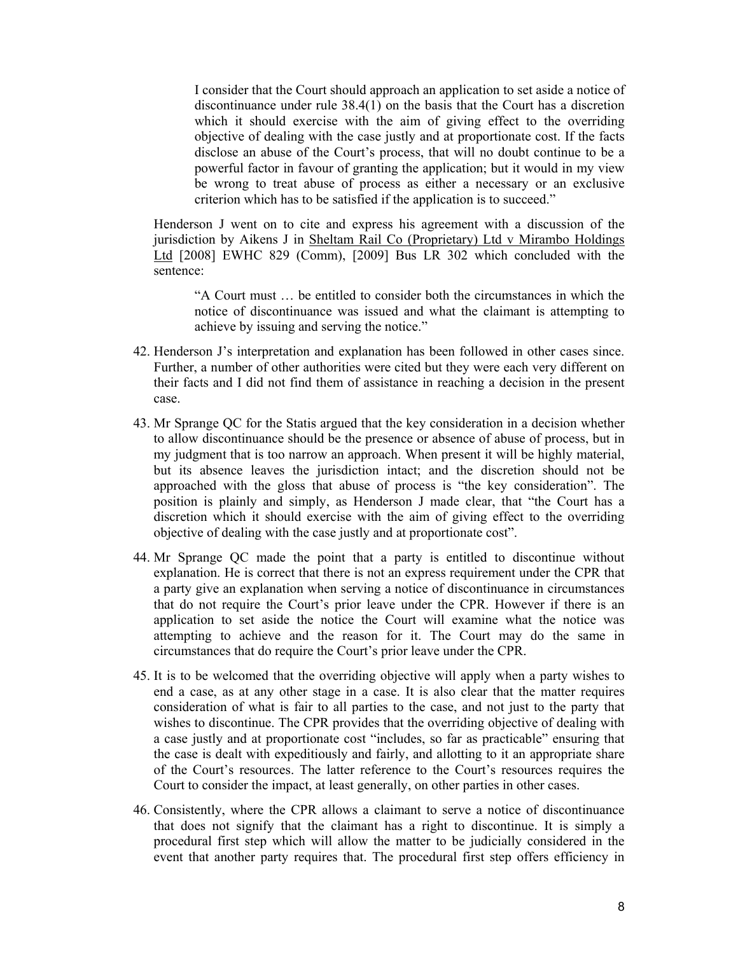I consider that the Court should approach an application to set aside a notice of discontinuance under rule 38.4(1) on the basis that the Court has a discretion which it should exercise with the aim of giving effect to the overriding objective of dealing with the case justly and at proportionate cost. If the facts disclose an abuse of the Court's process, that will no doubt continue to be a powerful factor in favour of granting the application; but it would in my view be wrong to treat abuse of process as either a necessary or an exclusive criterion which has to be satisfied if the application is to succeed."

 Henderson J went on to cite and express his agreement with a discussion of the jurisdiction by Aikens J in Sheltam Rail Co (Proprietary) Ltd v Mirambo Holdings Ltd [2008] EWHC 829 (Comm), [2009] Bus LR 302 which concluded with the sentence:

"A Court must … be entitled to consider both the circumstances in which the notice of discontinuance was issued and what the claimant is attempting to achieve by issuing and serving the notice."

- 42. Henderson J's interpretation and explanation has been followed in other cases since. Further, a number of other authorities were cited but they were each very different on their facts and I did not find them of assistance in reaching a decision in the present case.
- 43. Mr Sprange QC for the Statis argued that the key consideration in a decision whether to allow discontinuance should be the presence or absence of abuse of process, but in my judgment that is too narrow an approach. When present it will be highly material, but its absence leaves the jurisdiction intact; and the discretion should not be approached with the gloss that abuse of process is "the key consideration". The position is plainly and simply, as Henderson J made clear, that "the Court has a discretion which it should exercise with the aim of giving effect to the overriding objective of dealing with the case justly and at proportionate cost".
- 44. Mr Sprange QC made the point that a party is entitled to discontinue without explanation. He is correct that there is not an express requirement under the CPR that a party give an explanation when serving a notice of discontinuance in circumstances that do not require the Court's prior leave under the CPR. However if there is an application to set aside the notice the Court will examine what the notice was attempting to achieve and the reason for it. The Court may do the same in circumstances that do require the Court's prior leave under the CPR.
- 45. It is to be welcomed that the overriding objective will apply when a party wishes to end a case, as at any other stage in a case. It is also clear that the matter requires consideration of what is fair to all parties to the case, and not just to the party that wishes to discontinue. The CPR provides that the overriding objective of dealing with a case justly and at proportionate cost "includes, so far as practicable" ensuring that the case is dealt with expeditiously and fairly, and allotting to it an appropriate share of the Court's resources. The latter reference to the Court's resources requires the Court to consider the impact, at least generally, on other parties in other cases.
- 46. Consistently, where the CPR allows a claimant to serve a notice of discontinuance that does not signify that the claimant has a right to discontinue. It is simply a procedural first step which will allow the matter to be judicially considered in the event that another party requires that. The procedural first step offers efficiency in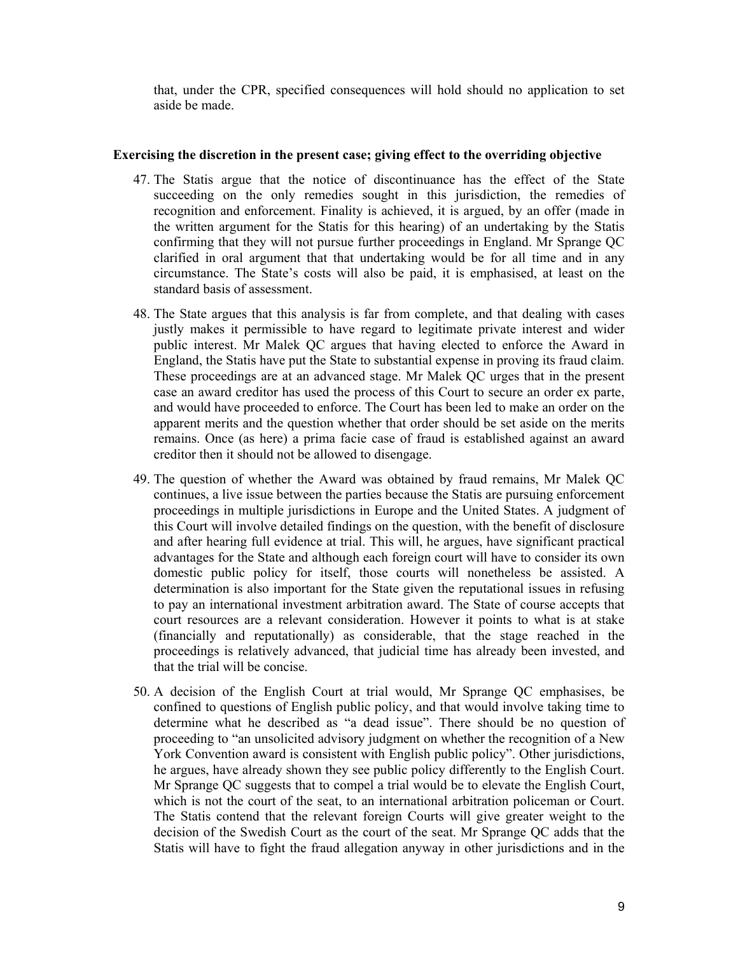that, under the CPR, specified consequences will hold should no application to set aside be made.

#### **Exercising the discretion in the present case; giving effect to the overriding objective**

- 47. The Statis argue that the notice of discontinuance has the effect of the State succeeding on the only remedies sought in this jurisdiction, the remedies of recognition and enforcement. Finality is achieved, it is argued, by an offer (made in the written argument for the Statis for this hearing) of an undertaking by the Statis confirming that they will not pursue further proceedings in England. Mr Sprange QC clarified in oral argument that that undertaking would be for all time and in any circumstance. The State's costs will also be paid, it is emphasised, at least on the standard basis of assessment.
- 48. The State argues that this analysis is far from complete, and that dealing with cases justly makes it permissible to have regard to legitimate private interest and wider public interest. Mr Malek QC argues that having elected to enforce the Award in England, the Statis have put the State to substantial expense in proving its fraud claim. These proceedings are at an advanced stage. Mr Malek QC urges that in the present case an award creditor has used the process of this Court to secure an order ex parte, and would have proceeded to enforce. The Court has been led to make an order on the apparent merits and the question whether that order should be set aside on the merits remains. Once (as here) a prima facie case of fraud is established against an award creditor then it should not be allowed to disengage.
- 49. The question of whether the Award was obtained by fraud remains, Mr Malek QC continues, a live issue between the parties because the Statis are pursuing enforcement proceedings in multiple jurisdictions in Europe and the United States. A judgment of this Court will involve detailed findings on the question, with the benefit of disclosure and after hearing full evidence at trial. This will, he argues, have significant practical advantages for the State and although each foreign court will have to consider its own domestic public policy for itself, those courts will nonetheless be assisted. A determination is also important for the State given the reputational issues in refusing to pay an international investment arbitration award. The State of course accepts that court resources are a relevant consideration. However it points to what is at stake (financially and reputationally) as considerable, that the stage reached in the proceedings is relatively advanced, that judicial time has already been invested, and that the trial will be concise.
- 50. A decision of the English Court at trial would, Mr Sprange QC emphasises, be confined to questions of English public policy, and that would involve taking time to determine what he described as "a dead issue". There should be no question of proceeding to "an unsolicited advisory judgment on whether the recognition of a New York Convention award is consistent with English public policy". Other jurisdictions, he argues, have already shown they see public policy differently to the English Court. Mr Sprange QC suggests that to compel a trial would be to elevate the English Court, which is not the court of the seat, to an international arbitration policeman or Court. The Statis contend that the relevant foreign Courts will give greater weight to the decision of the Swedish Court as the court of the seat. Mr Sprange QC adds that the Statis will have to fight the fraud allegation anyway in other jurisdictions and in the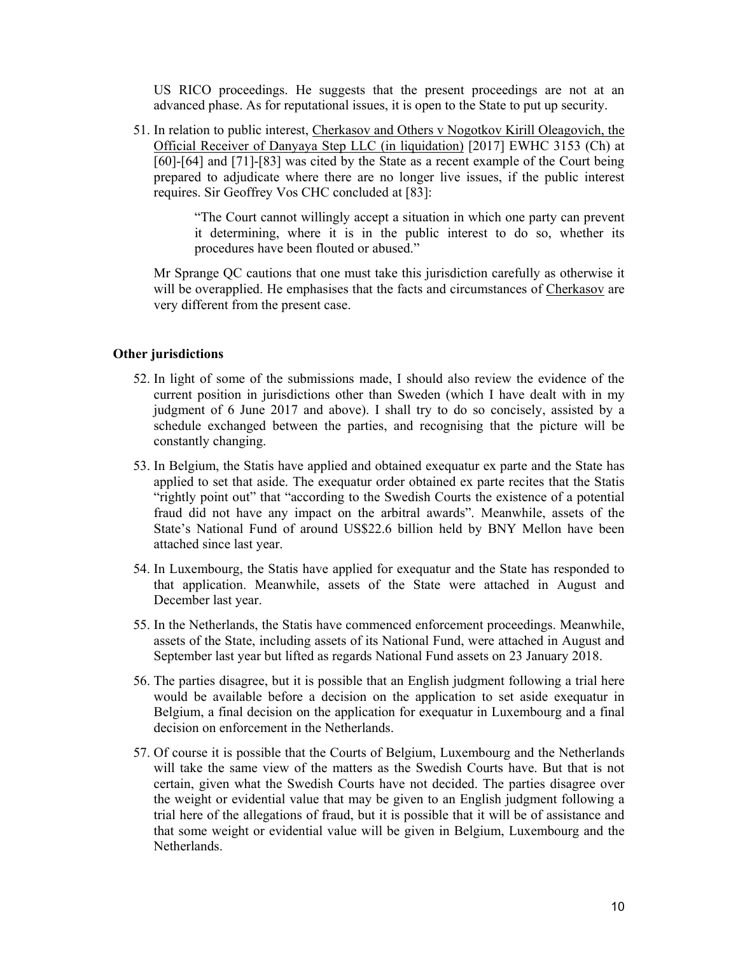US RICO proceedings. He suggests that the present proceedings are not at an advanced phase. As for reputational issues, it is open to the State to put up security.

51. In relation to public interest, Cherkasov and Others v Nogotkov Kirill Oleagovich, the Official Receiver of Danyaya Step LLC (in liquidation) [2017] EWHC 3153 (Ch) at [60]-[64] and [71]-[83] was cited by the State as a recent example of the Court being prepared to adjudicate where there are no longer live issues, if the public interest requires. Sir Geoffrey Vos CHC concluded at [83]:

> "The Court cannot willingly accept a situation in which one party can prevent it determining, where it is in the public interest to do so, whether its procedures have been flouted or abused."

Mr Sprange QC cautions that one must take this jurisdiction carefully as otherwise it will be overapplied. He emphasises that the facts and circumstances of Cherkasov are very different from the present case.

### **Other jurisdictions**

- 52. In light of some of the submissions made, I should also review the evidence of the current position in jurisdictions other than Sweden (which I have dealt with in my judgment of 6 June 2017 and above). I shall try to do so concisely, assisted by a schedule exchanged between the parties, and recognising that the picture will be constantly changing.
- 53. In Belgium, the Statis have applied and obtained exequatur ex parte and the State has applied to set that aside. The exequatur order obtained ex parte recites that the Statis "rightly point out" that "according to the Swedish Courts the existence of a potential fraud did not have any impact on the arbitral awards". Meanwhile, assets of the State's National Fund of around US\$22.6 billion held by BNY Mellon have been attached since last year.
- 54. In Luxembourg, the Statis have applied for exequatur and the State has responded to that application. Meanwhile, assets of the State were attached in August and December last year.
- 55. In the Netherlands, the Statis have commenced enforcement proceedings. Meanwhile, assets of the State, including assets of its National Fund, were attached in August and September last year but lifted as regards National Fund assets on 23 January 2018.
- 56. The parties disagree, but it is possible that an English judgment following a trial here would be available before a decision on the application to set aside exequatur in Belgium, a final decision on the application for exequatur in Luxembourg and a final decision on enforcement in the Netherlands.
- 57. Of course it is possible that the Courts of Belgium, Luxembourg and the Netherlands will take the same view of the matters as the Swedish Courts have. But that is not certain, given what the Swedish Courts have not decided. The parties disagree over the weight or evidential value that may be given to an English judgment following a trial here of the allegations of fraud, but it is possible that it will be of assistance and that some weight or evidential value will be given in Belgium, Luxembourg and the Netherlands.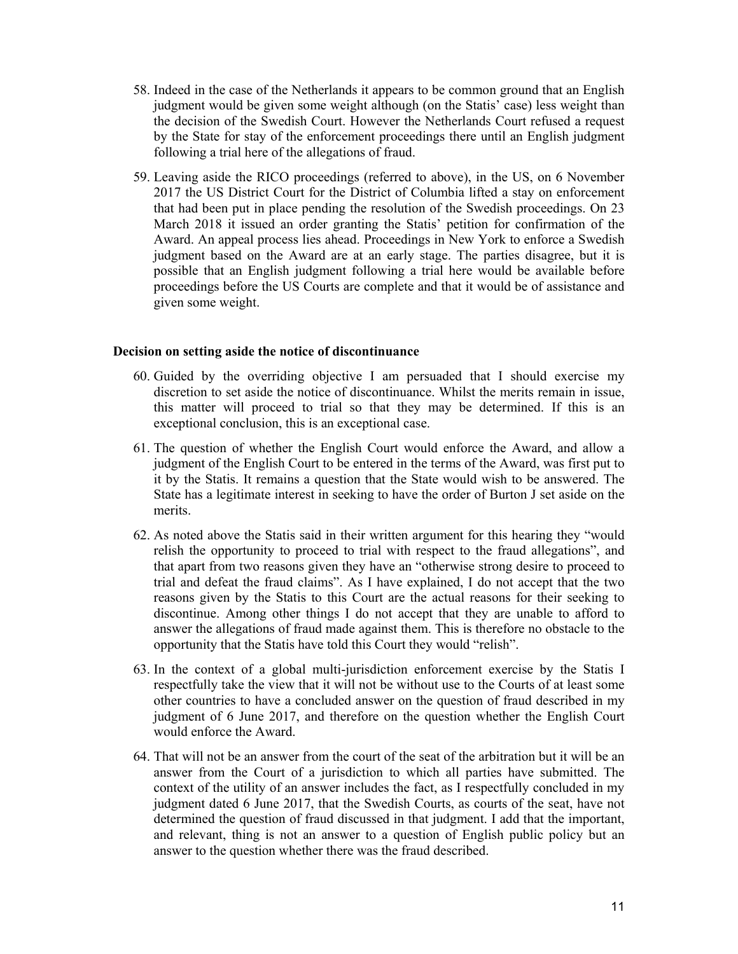- 58. Indeed in the case of the Netherlands it appears to be common ground that an English judgment would be given some weight although (on the Statis' case) less weight than the decision of the Swedish Court. However the Netherlands Court refused a request by the State for stay of the enforcement proceedings there until an English judgment following a trial here of the allegations of fraud.
- 59. Leaving aside the RICO proceedings (referred to above), in the US, on 6 November 2017 the US District Court for the District of Columbia lifted a stay on enforcement that had been put in place pending the resolution of the Swedish proceedings. On 23 March 2018 it issued an order granting the Statis' petition for confirmation of the Award. An appeal process lies ahead. Proceedings in New York to enforce a Swedish judgment based on the Award are at an early stage. The parties disagree, but it is possible that an English judgment following a trial here would be available before proceedings before the US Courts are complete and that it would be of assistance and given some weight.

### **Decision on setting aside the notice of discontinuance**

- 60. Guided by the overriding objective I am persuaded that I should exercise my discretion to set aside the notice of discontinuance. Whilst the merits remain in issue, this matter will proceed to trial so that they may be determined. If this is an exceptional conclusion, this is an exceptional case.
- 61. The question of whether the English Court would enforce the Award, and allow a judgment of the English Court to be entered in the terms of the Award, was first put to it by the Statis. It remains a question that the State would wish to be answered. The State has a legitimate interest in seeking to have the order of Burton J set aside on the merits.
- 62. As noted above the Statis said in their written argument for this hearing they "would relish the opportunity to proceed to trial with respect to the fraud allegations", and that apart from two reasons given they have an "otherwise strong desire to proceed to trial and defeat the fraud claims". As I have explained, I do not accept that the two reasons given by the Statis to this Court are the actual reasons for their seeking to discontinue. Among other things I do not accept that they are unable to afford to answer the allegations of fraud made against them. This is therefore no obstacle to the opportunity that the Statis have told this Court they would "relish".
- 63. In the context of a global multi-jurisdiction enforcement exercise by the Statis I respectfully take the view that it will not be without use to the Courts of at least some other countries to have a concluded answer on the question of fraud described in my judgment of 6 June 2017, and therefore on the question whether the English Court would enforce the Award.
- 64. That will not be an answer from the court of the seat of the arbitration but it will be an answer from the Court of a jurisdiction to which all parties have submitted. The context of the utility of an answer includes the fact, as I respectfully concluded in my judgment dated 6 June 2017, that the Swedish Courts, as courts of the seat, have not determined the question of fraud discussed in that judgment. I add that the important, and relevant, thing is not an answer to a question of English public policy but an answer to the question whether there was the fraud described.